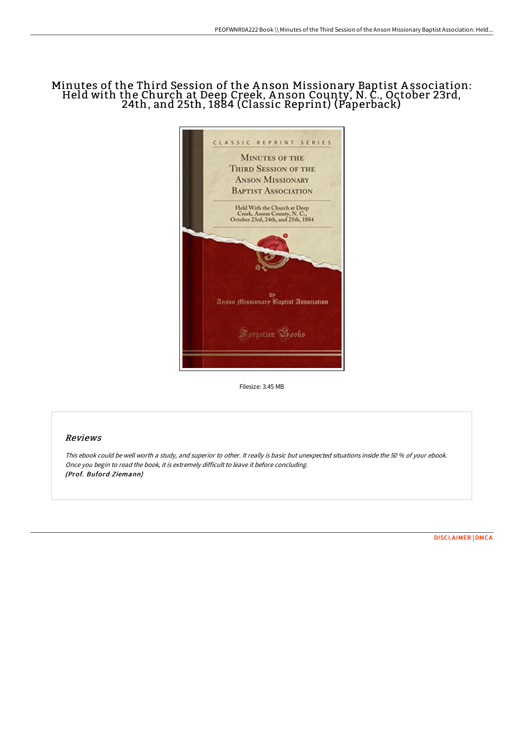## Minutes of the Third Session of the A nson Missionary Baptist A ssociation: Held with the Church at Deep Creek, A nson County, N. C., October 23rd, 24th, and 25th, 1884 (Classic Reprint) (Paperback)



Filesize: 3.45 MB

## Reviews

This ebook could be well worth <sup>a</sup> study, and superior to other. It really is basic but unexpected situations inside the 50 % of your ebook. Once you begin to read the book, it is extremely difficult to leave it before concluding. (Prof. Buford Ziemann)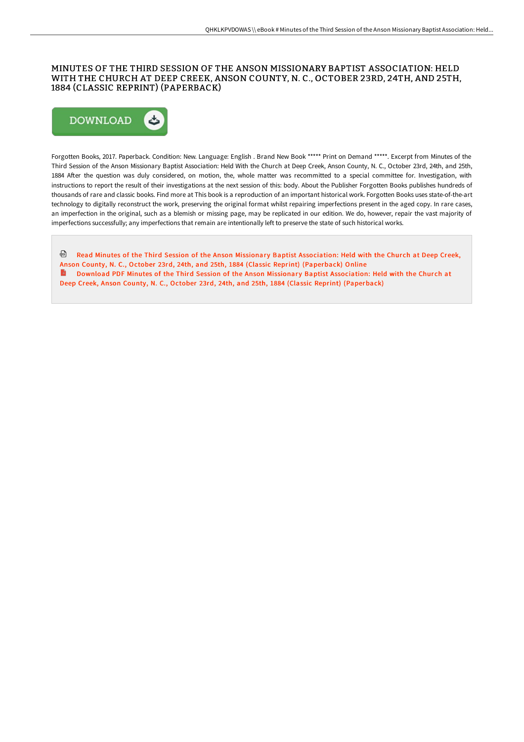## MINUTES OF THE THIRD SESSION OF THE ANSON MISSIONARY BAPTIST ASSOCIATION: HELD WITH THE CHURCH AT DEEP CREEK, ANSON COUNTY, N. C., OCTOBER 23RD, 24TH, AND 25TH, 1884 (CLASSIC REPRINT) (PAPERBACK)



Forgotten Books, 2017. Paperback. Condition: New. Language: English . Brand New Book \*\*\*\*\* Print on Demand \*\*\*\*\*. Excerpt from Minutes of the Third Session of the Anson Missionary Baptist Association: Held With the Church at Deep Creek, Anson County, N. C., October 23rd, 24th, and 25th, 1884 After the question was duly considered, on motion, the, whole matter was recommitted to a special committee for. Investigation, with instructions to report the result of their investigations at the next session of this: body. About the Publisher Forgotten Books publishes hundreds of thousands of rare and classic books. Find more at This book is a reproduction of an important historical work. Forgotten Books uses state-of-the-art technology to digitally reconstruct the work, preserving the original format whilst repairing imperfections present in the aged copy. In rare cases, an imperfection in the original, such as a blemish or missing page, may be replicated in our edition. We do, however, repair the vast majority of imperfections successfully; any imperfections that remain are intentionally left to preserve the state of such historical works.

<sup>@</sup> Read Minutes of the Third Session of the Anson Missionary Baptist [Association:](http://bookera.tech/minutes-of-the-third-session-of-the-anson-missio.html) Held with the Church at Deep Creek, Anson County, N. C., October 23rd, 24th, and 25th, 1884 (Classic Reprint) (Paperback) Online Download PDF Minutes of the Third Session of the Anson Missionary Baptist [Association:](http://bookera.tech/minutes-of-the-third-session-of-the-anson-missio.html) Held with the Church at Deep Creek, Anson County, N. C., October 23rd, 24th, and 25th, 1884 (Classic Reprint) (Paperback)